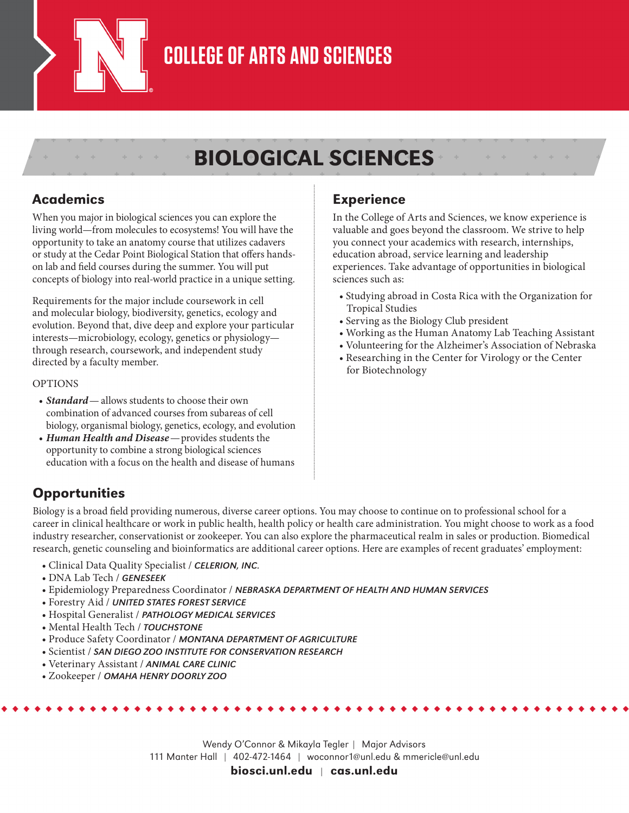

### **COLLEGE OF ARTS AND SCIENCES**

### BIOLOGICAL SCIENCES

#### Academics

When you major in biological sciences you can explore the living world—from molecules to ecosystems! You will have the opportunity to take an anatomy course that utilizes cadavers or study at the Cedar Point Biological Station that offers handson lab and field courses during the summer. You will put concepts of biology into real-world practice in a unique setting.

Requirements for the major include coursework in cell and molecular biology, biodiversity, genetics, ecology and evolution. Beyond that, dive deep and explore your particular interests—microbiology, ecology, genetics or physiology through research, coursework, and independent study directed by a faculty member.

#### OPTIONS

- *Standard*—allows students to choose their own combination of advanced courses from subareas of cell biology, organismal biology, genetics, ecology, and evolution
- *Human Health and Disease*—provides students the opportunity to combine a strong biological sciences education with a focus on the health and disease of humans

#### Experience

In the College of Arts and Sciences, we know experience is valuable and goes beyond the classroom. We strive to help you connect your academics with research, internships, education abroad, service learning and leadership experiences. Take advantage of opportunities in biological sciences such as:

- Studying abroad in Costa Rica with the Organization for Tropical Studies
- Serving as the Biology Club president
- Working as the Human Anatomy Lab Teaching Assistant
- Volunteering for the Alzheimer's Association of Nebraska
- Researching in the Center for Virology or the Center for Biotechnology

### **Opportunities**

Biology is a broad field providing numerous, diverse career options. You may choose to continue on to professional school for a career in clinical healthcare or work in public health, health policy or health care administration. You might choose to work as a food industry researcher, conservationist or zookeeper. You can also explore the pharmaceutical realm in sales or production. Biomedical research, genetic counseling and bioinformatics are additional career options. Here are examples of recent graduates' employment:

- Clinical Data Quality Specialist / *CELERION, INC.*
- DNA Lab Tech / *GENESEEK*
- Epidemiology Preparedness Coordinator / *NEBRASKA DEPARTMENT OF HEALTH AND HUMAN SERVICES*
- Forestry Aid / *UNITED STATES FOREST SERVICE*
- Hospital Generalist / *PATHOLOGY MEDICAL SERVICES*
- Mental Health Tech / *TOUCHSTONE*
- Produce Safety Coordinator / *MONTANA DEPARTMENT OF AGRICULTURE*
- Scientist / *SAN DIEGO ZOO INSTITUTE FOR CONSERVATION RESEARCH*
- Veterinary Assistant / *ANIMAL CARE CLINIC*
- Zookeeper / *OMAHA HENRY DOORLY ZOO*